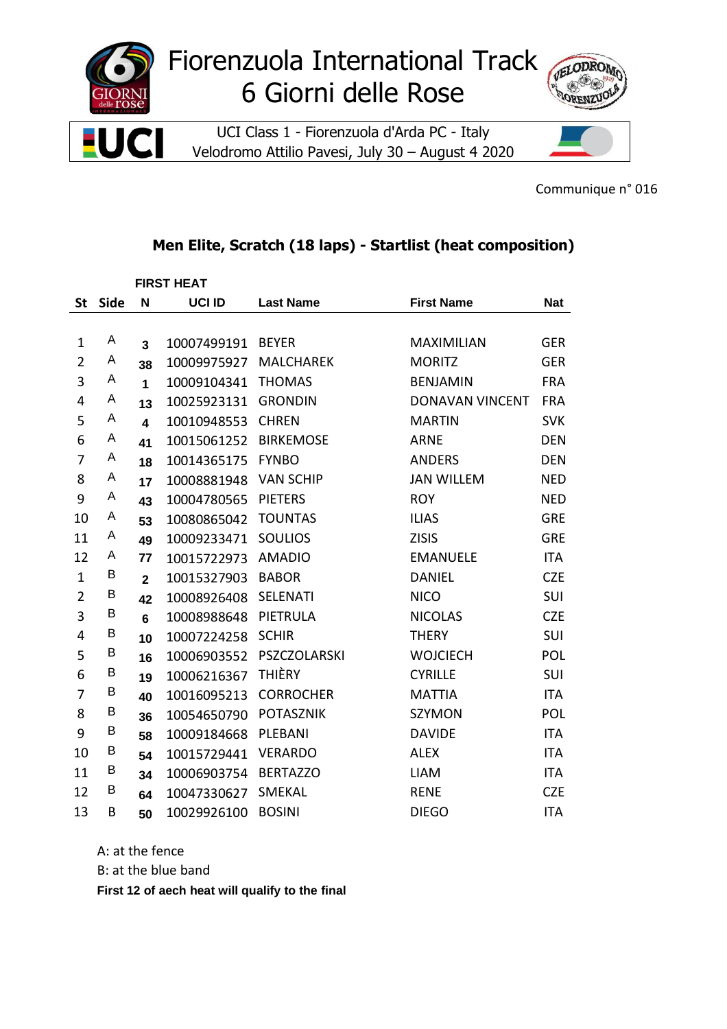

Communique n° 016

## Men Elite, Scratch (18 laps) - Startlist (heat composition)

|                |      |                         | <b>FIRST HEAT</b> |                  |                        |            |  |
|----------------|------|-------------------------|-------------------|------------------|------------------------|------------|--|
| <b>St</b>      | Side | N                       | UCI ID            | <b>Last Name</b> | <b>First Name</b>      | <b>Nat</b> |  |
|                |      |                         |                   |                  |                        |            |  |
| $\mathbf 1$    | A    | $\overline{\mathbf{3}}$ | 10007499191       | <b>BEYER</b>     | <b>MAXIMILIAN</b>      | <b>GER</b> |  |
| $\overline{2}$ | Α    | 38                      | 10009975927       | <b>MALCHAREK</b> | <b>MORITZ</b>          | <b>GER</b> |  |
| 3              | Α    | 1                       | 10009104341       | <b>THOMAS</b>    | <b>BENJAMIN</b>        | <b>FRA</b> |  |
| $\overline{4}$ | A    | 13                      | 10025923131       | <b>GRONDIN</b>   | <b>DONAVAN VINCENT</b> | <b>FRA</b> |  |
| 5              | A    | $\overline{\mathbf{4}}$ | 10010948553       | <b>CHREN</b>     | <b>MARTIN</b>          | <b>SVK</b> |  |
| 6              | Α    | 41                      | 10015061252       | <b>BIRKEMOSE</b> | <b>ARNE</b>            | <b>DEN</b> |  |
| 7              | A    | 18                      | 10014365175       | <b>FYNBO</b>     | <b>ANDERS</b>          | <b>DEN</b> |  |
| 8              | A    | 17                      | 10008881948       | <b>VAN SCHIP</b> | <b>JAN WILLEM</b>      | <b>NED</b> |  |
| 9              | Α    | 43                      | 10004780565       | <b>PIETERS</b>   | <b>ROY</b>             | <b>NED</b> |  |
| 10             | Α    | 53                      | 10080865042       | <b>TOUNTAS</b>   | <b>ILIAS</b>           | <b>GRE</b> |  |
| 11             | A    | 49                      | 10009233471       | <b>SOULIOS</b>   | <b>ZISIS</b>           | <b>GRE</b> |  |
| 12             | Α    | 77                      | 10015722973       | <b>AMADIO</b>    | <b>EMANUELE</b>        | <b>ITA</b> |  |
| $\mathbf{1}$   | Β    | $\mathbf{2}$            | 10015327903       | <b>BABOR</b>     | <b>DANIEL</b>          | <b>CZE</b> |  |
| $\overline{2}$ | В    | 42                      | 10008926408       | <b>SELENATI</b>  | <b>NICO</b>            | SUI        |  |
| 3              | B    | $6\phantom{1}$          | 10008988648       | PIETRULA         | <b>NICOLAS</b>         | <b>CZE</b> |  |
| 4              | Β    | 10                      | 10007224258       | <b>SCHIR</b>     | <b>THERY</b>           | SUI        |  |
| 5              | B    | 16                      | 10006903552       | PSZCZOLARSKI     | <b>WOJCIECH</b>        | POL        |  |
| 6              | B    | 19                      | 10006216367       | <b>THIÈRY</b>    | <b>CYRILLE</b>         | SUI        |  |
| 7              | Β    | 40                      | 10016095213       | <b>CORROCHER</b> | <b>MATTIA</b>          | <b>ITA</b> |  |
| 8              | Β    | 36                      | 10054650790       | <b>POTASZNIK</b> | <b>SZYMON</b>          | POL        |  |
| 9              | Β    | 58                      | 10009184668       | PLEBANI          | <b>DAVIDE</b>          | <b>ITA</b> |  |
| 10             | B    | 54                      | 10015729441       | <b>VERARDO</b>   | <b>ALEX</b>            | <b>ITA</b> |  |
| 11             | Β    | 34                      | 10006903754       | <b>BERTAZZO</b>  | <b>LIAM</b>            | <b>ITA</b> |  |
| 12             | B    | 64                      | 10047330627       | <b>SMEKAL</b>    | <b>RENE</b>            | <b>CZE</b> |  |
| 13             | B    | 50                      | 10029926100       | <b>BOSINI</b>    | <b>DIEGO</b>           | <b>ITA</b> |  |

A: at the fence

B: at the blue band

First 12 of aech heat will qualify to the final